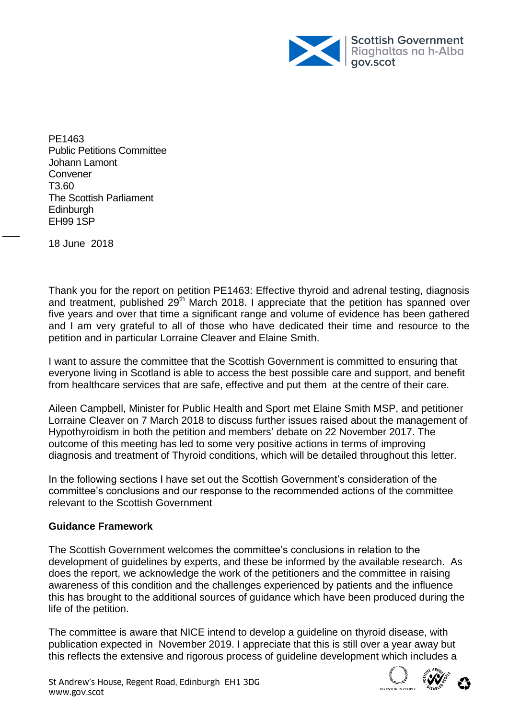

PE1463 Public Petitions Committee Johann Lamont **Convener** T3.60 The Scottish Parliament **Edinburgh** EH99 1SP

18 June 2018

 $\overline{\phantom{a}}$ 

Thank you for the report on petition PE1463: Effective thyroid and adrenal testing, diagnosis and treatment, published 29<sup>th</sup> March 2018. I appreciate that the petition has spanned over five years and over that time a significant range and volume of evidence has been gathered and I am very grateful to all of those who have dedicated their time and resource to the petition and in particular Lorraine Cleaver and Elaine Smith.

I want to assure the committee that the Scottish Government is committed to ensuring that everyone living in Scotland is able to access the best possible care and support, and benefit from healthcare services that are safe, effective and put them at the centre of their care.

Aileen Campbell, Minister for Public Health and Sport met Elaine Smith MSP, and petitioner Lorraine Cleaver on 7 March 2018 to discuss further issues raised about the management of Hypothyroidism in both the petition and members' debate on 22 November 2017. The outcome of this meeting has led to some very positive actions in terms of improving diagnosis and treatment of Thyroid conditions, which will be detailed throughout this letter.

In the following sections I have set out the Scottish Government's consideration of the committee's conclusions and our response to the recommended actions of the committee relevant to the Scottish Government

## **Guidance Framework**

The Scottish Government welcomes the committee's conclusions in relation to the development of guidelines by experts, and these be informed by the available research. As does the report, we acknowledge the work of the petitioners and the committee in raising awareness of this condition and the challenges experienced by patients and the influence this has brought to the additional sources of guidance which have been produced during the life of the petition.

The committee is aware that NICE intend to develop a guideline on thyroid disease, with publication expected in November 2019. I appreciate that this is still over a year away but this reflects the extensive and rigorous process of guideline development which includes a

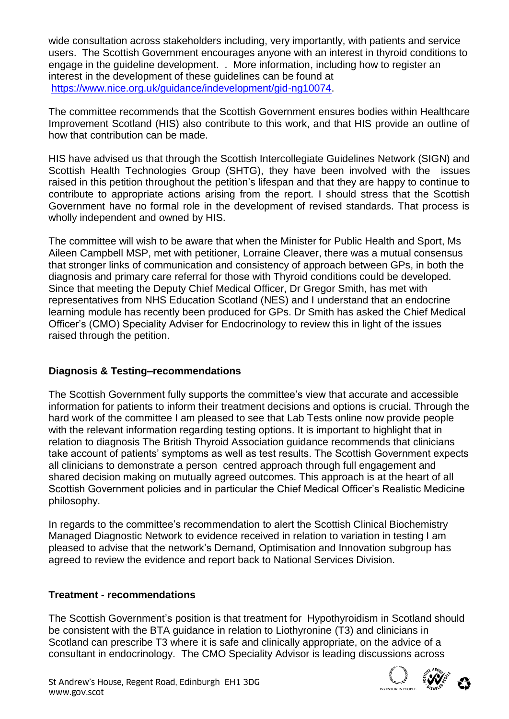wide consultation across stakeholders including, very importantly, with patients and service users. The Scottish Government encourages anyone with an interest in thyroid conditions to engage in the guideline development. . More information, including how to register an interest in the development of these guidelines can be found at [https://www.nice.org.uk/guidance/indevelopment/gid-ng10074.](https://www.nice.org.uk/guidance/indevelopment/gid-ng10074)

The committee recommends that the Scottish Government ensures bodies within Healthcare Improvement Scotland (HIS) also contribute to this work, and that HIS provide an outline of how that contribution can be made.

HIS have advised us that through the Scottish Intercollegiate Guidelines Network (SIGN) and Scottish Health Technologies Group (SHTG), they have been involved with the issues raised in this petition throughout the petition's lifespan and that they are happy to continue to contribute to appropriate actions arising from the report. I should stress that the Scottish Government have no formal role in the development of revised standards. That process is wholly independent and owned by HIS.

The committee will wish to be aware that when the Minister for Public Health and Sport, Ms Aileen Campbell MSP, met with petitioner, Lorraine Cleaver, there was a mutual consensus that stronger links of communication and consistency of approach between GPs, in both the diagnosis and primary care referral for those with Thyroid conditions could be developed. Since that meeting the Deputy Chief Medical Officer, Dr Gregor Smith, has met with representatives from NHS Education Scotland (NES) and I understand that an endocrine learning module has recently been produced for GPs. Dr Smith has asked the Chief Medical Officer's (CMO) Speciality Adviser for Endocrinology to review this in light of the issues raised through the petition.

# **Diagnosis & Testing–recommendations**

The Scottish Government fully supports the committee's view that accurate and accessible information for patients to inform their treatment decisions and options is crucial. Through the hard work of the committee I am pleased to see that Lab Tests online now provide people with the relevant information regarding testing options. It is important to highlight that in relation to diagnosis The British Thyroid Association guidance recommends that clinicians take account of patients' symptoms as well as test results. The Scottish Government expects all clinicians to demonstrate a person centred approach through full engagement and shared decision making on mutually agreed outcomes. This approach is at the heart of all Scottish Government policies and in particular the Chief Medical Officer's Realistic Medicine philosophy.

In regards to the committee's recommendation to alert the Scottish Clinical Biochemistry Managed Diagnostic Network to evidence received in relation to variation in testing I am pleased to advise that the network's Demand, Optimisation and Innovation subgroup has agreed to review the evidence and report back to National Services Division.

# **Treatment - recommendations**

The Scottish Government's position is that treatment for Hypothyroidism in Scotland should be consistent with the BTA guidance in relation to Liothyronine (T3) and clinicians in Scotland can prescribe T3 where it is safe and clinically appropriate, on the advice of a consultant in endocrinology. The CMO Speciality Advisor is leading discussions across

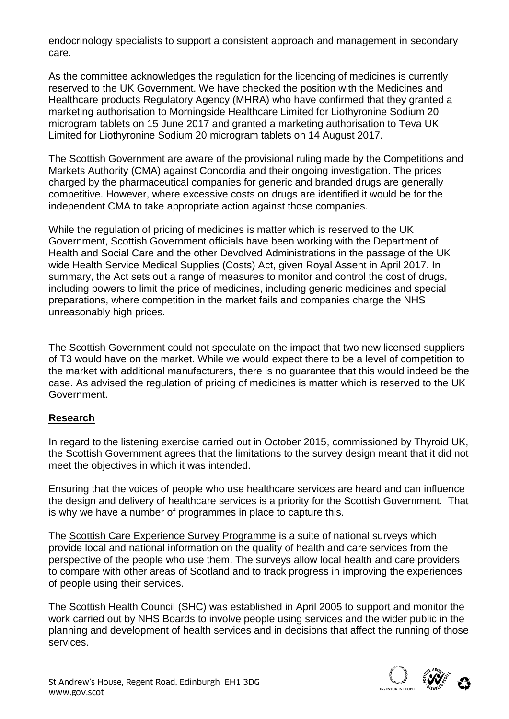endocrinology specialists to support a consistent approach and management in secondary care.

As the committee acknowledges the regulation for the licencing of medicines is currently reserved to the UK Government. We have checked the position with the Medicines and Healthcare products Regulatory Agency (MHRA) who have confirmed that they granted a marketing authorisation to Morningside Healthcare Limited for Liothyronine Sodium 20 microgram tablets on 15 June 2017 and granted a marketing authorisation to Teva UK Limited for Liothyronine Sodium 20 microgram tablets on 14 August 2017.

The Scottish Government are aware of the provisional ruling made by the Competitions and Markets Authority (CMA) against Concordia and their ongoing investigation. The prices charged by the pharmaceutical companies for generic and branded drugs are generally competitive. However, where excessive costs on drugs are identified it would be for the independent CMA to take appropriate action against those companies.

While the regulation of pricing of medicines is matter which is reserved to the UK Government, Scottish Government officials have been working with the Department of Health and Social Care and the other Devolved Administrations in the passage of the UK wide Health Service Medical Supplies (Costs) Act, given Royal Assent in April 2017. In summary, the Act sets out a range of measures to monitor and control the cost of drugs, including powers to limit the price of medicines, including generic medicines and special preparations, where competition in the market fails and companies charge the NHS unreasonably high prices.

The Scottish Government could not speculate on the impact that two new licensed suppliers of T3 would have on the market. While we would expect there to be a level of competition to the market with additional manufacturers, there is no guarantee that this would indeed be the case. As advised the regulation of pricing of medicines is matter which is reserved to the UK Government.

# **Research**

In regard to the listening exercise carried out in October 2015, commissioned by Thyroid UK, the Scottish Government agrees that the limitations to the survey design meant that it did not meet the objectives in which it was intended.

Ensuring that the voices of people who use healthcare services are heard and can influence the design and delivery of healthcare services is a priority for the Scottish Government. That is why we have a number of programmes in place to capture this.

The [Scottish Care Experience Survey Programme](http://www.gov.scot/Topics/Statistics/Browse/Health/careexperience) is a suite of national surveys which provide local and national information on the quality of health and care services from the perspective of the people who use them. The surveys allow local health and care providers to compare with other areas of Scotland and to track progress in improving the experiences of people using their services.

The [Scottish Health Council](http://www.scottishhealthcouncil.org/about_us/about_us.aspx) (SHC) was established in April 2005 to support and monitor the work carried out by NHS Boards to involve people using services and the wider public in the planning and development of health services and in decisions that affect the running of those services.